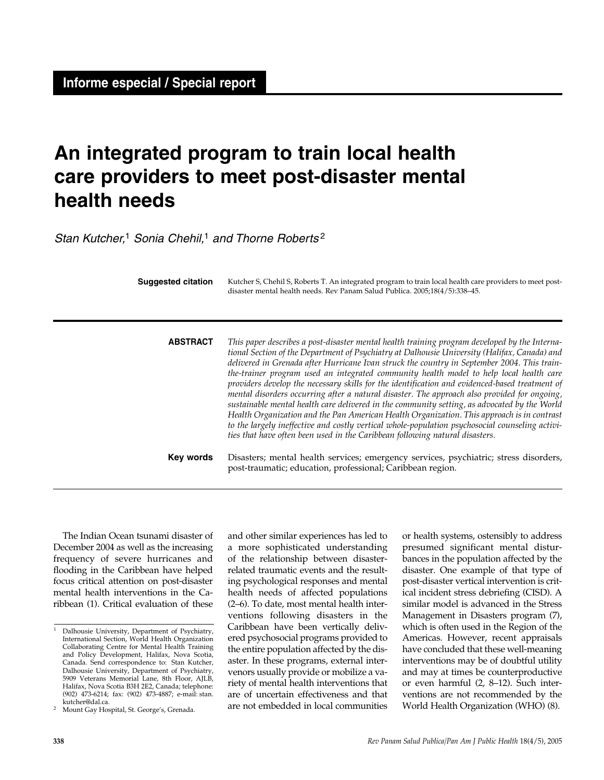# **An integrated program to train local health care providers to meet post-disaster mental health needs**

Stan Kutcher,<sup>1</sup> Sonia Chehil,<sup>1</sup> and Thorne Roberts<sup>2</sup>

| <b>Suggested citation</b> | Kutcher S, Chehil S, Roberts T. An integrated program to train local health care providers to meet post-<br>disaster mental health needs. Rev Panam Salud Publica. 2005;18(4/5):338-45.                                                                                                                                                                                                                                                                                                                                                                                                                                                                                                                                                                                                                                                                                                                                                                                    |
|---------------------------|----------------------------------------------------------------------------------------------------------------------------------------------------------------------------------------------------------------------------------------------------------------------------------------------------------------------------------------------------------------------------------------------------------------------------------------------------------------------------------------------------------------------------------------------------------------------------------------------------------------------------------------------------------------------------------------------------------------------------------------------------------------------------------------------------------------------------------------------------------------------------------------------------------------------------------------------------------------------------|
| <b>ABSTRACT</b>           | This paper describes a post-disaster mental health training program developed by the Interna-<br>tional Section of the Department of Psychiatry at Dalhousie University (Halifax, Canada) and<br>delivered in Grenada after Hurricane Ivan struck the country in September 2004. This train-<br>the-trainer program used an integrated community health model to help local health care<br>providers develop the necessary skills for the identification and evidenced-based treatment of<br>mental disorders occurring after a natural disaster. The approach also provided for ongoing,<br>sustainable mental health care delivered in the community setting, as advocated by the World<br>Health Organization and the Pan American Health Organization. This approach is in contrast<br>to the largely ineffective and costly vertical whole-population psychosocial counseling activi-<br>ties that have often been used in the Caribbean following natural disasters. |
| Key words                 | Disasters; mental health services; emergency services, psychiatric; stress disorders,<br>post-traumatic; education, professional; Caribbean region.                                                                                                                                                                                                                                                                                                                                                                                                                                                                                                                                                                                                                                                                                                                                                                                                                        |

The Indian Ocean tsunami disaster of December 2004 as well as the increasing frequency of severe hurricanes and flooding in the Caribbean have helped focus critical attention on post-disaster mental health interventions in the Caribbean (1). Critical evaluation of these

and other similar experiences has led to a more sophisticated understanding of the relationship between disasterrelated traumatic events and the resulting psychological responses and mental health needs of affected populations (2–6). To date, most mental health interventions following disasters in the Caribbean have been vertically delivered psychosocial programs provided to the entire population affected by the disaster. In these programs, external intervenors usually provide or mobilize a variety of mental health interventions that are of uncertain effectiveness and that are not embedded in local communities

or health systems, ostensibly to address presumed significant mental disturbances in the population affected by the disaster. One example of that type of post-disaster vertical intervention is critical incident stress debriefing (CISD). A similar model is advanced in the Stress Management in Disasters program (7), which is often used in the Region of the Americas. However, recent appraisals have concluded that these well-meaning interventions may be of doubtful utility and may at times be counterproductive or even harmful (2, 8–12). Such interventions are not recommended by the World Health Organization (WHO) (8).

<sup>&</sup>lt;sup>1</sup> Dalhousie University, Department of Psychiatry, International Section, World Health Organization Collaborating Centre for Mental Health Training and Policy Development, Halifax, Nova Scotia, Canada. Send correspondence to: Stan Kutcher, Dalhousie University, Department of Psychiatry, 5909 Veterans Memorial Lane, 8th Floor, AJLB, Halifax, Nova Scotia B3H 2E2, Canada; telephone: (902) 473-6214; fax: (902) 473-4887; e-mail: stan.

<sup>2</sup> Mount Gay Hospital, St. George's, Grenada.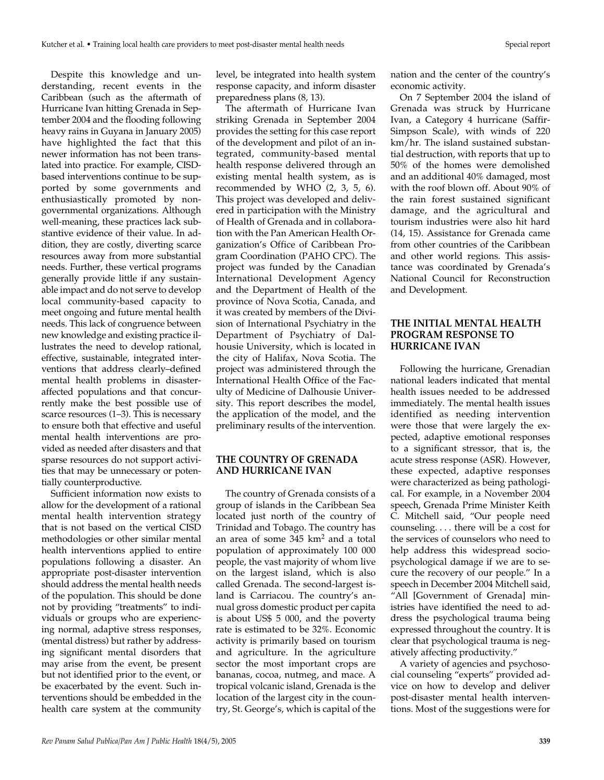Despite this knowledge and understanding, recent events in the Caribbean (such as the aftermath of Hurricane Ivan hitting Grenada in September 2004 and the flooding following heavy rains in Guyana in January 2005) have highlighted the fact that this newer information has not been translated into practice. For example, CISDbased interventions continue to be supported by some governments and enthusiastically promoted by nongovernmental organizations. Although well-meaning, these practices lack substantive evidence of their value. In addition, they are costly, diverting scarce resources away from more substantial needs. Further, these vertical programs generally provide little if any sustainable impact and do not serve to develop local community-based capacity to meet ongoing and future mental health needs. This lack of congruence between new knowledge and existing practice illustrates the need to develop rational, effective, sustainable, integrated interventions that address clearly–defined mental health problems in disasteraffected populations and that concurrently make the best possible use of scarce resources (1–3). This is necessary to ensure both that effective and useful mental health interventions are provided as needed after disasters and that sparse resources do not support activities that may be unnecessary or potentially counterproductive.

Sufficient information now exists to allow for the development of a rational mental health intervention strategy that is not based on the vertical CISD methodologies or other similar mental health interventions applied to entire populations following a disaster. An appropriate post-disaster intervention should address the mental health needs of the population. This should be done not by providing "treatments" to individuals or groups who are experiencing normal, adaptive stress responses, (mental distress) but rather by addressing significant mental disorders that may arise from the event, be present but not identified prior to the event, or be exacerbated by the event. Such interventions should be embedded in the health care system at the community

level, be integrated into health system response capacity, and inform disaster preparedness plans (8, 13).

The aftermath of Hurricane Ivan striking Grenada in September 2004 provides the setting for this case report of the development and pilot of an integrated, community-based mental health response delivered through an existing mental health system, as is recommended by WHO (2, 3, 5, 6). This project was developed and delivered in participation with the Ministry of Health of Grenada and in collaboration with the Pan American Health Organization's Office of Caribbean Program Coordination (PAHO CPC). The project was funded by the Canadian International Development Agency and the Department of Health of the province of Nova Scotia, Canada, and it was created by members of the Division of International Psychiatry in the Department of Psychiatry of Dalhousie University, which is located in the city of Halifax, Nova Scotia. The project was administered through the International Health Office of the Faculty of Medicine of Dalhousie University. This report describes the model, the application of the model, and the preliminary results of the intervention.

#### **THE COUNTRY OF GRENADA AND HURRICANE IVAN**

The country of Grenada consists of a group of islands in the Caribbean Sea located just north of the country of Trinidad and Tobago. The country has an area of some 345 km<sup>2</sup> and a total population of approximately 100 000 people, the vast majority of whom live on the largest island, which is also called Grenada. The second-largest island is Carriacou. The country's annual gross domestic product per capita is about US\$ 5 000, and the poverty rate is estimated to be 32%. Economic activity is primarily based on tourism and agriculture. In the agriculture sector the most important crops are bananas, cocoa, nutmeg, and mace. A tropical volcanic island, Grenada is the location of the largest city in the country, St. George's, which is capital of the

nation and the center of the country's economic activity.

On 7 September 2004 the island of Grenada was struck by Hurricane Ivan, a Category 4 hurricane (Saffir-Simpson Scale), with winds of 220 km/hr. The island sustained substantial destruction, with reports that up to 50% of the homes were demolished and an additional 40% damaged, most with the roof blown off. About 90% of the rain forest sustained significant damage, and the agricultural and tourism industries were also hit hard (14, 15). Assistance for Grenada came from other countries of the Caribbean and other world regions. This assistance was coordinated by Grenada's National Council for Reconstruction and Development.

#### **THE INITIAL MENTAL HEALTH PROGRAM RESPONSE TO HURRICANE IVAN**

Following the hurricane, Grenadian national leaders indicated that mental health issues needed to be addressed immediately. The mental health issues identified as needing intervention were those that were largely the expected, adaptive emotional responses to a significant stressor, that is, the acute stress response (ASR). However, these expected, adaptive responses were characterized as being pathological. For example, in a November 2004 speech, Grenada Prime Minister Keith C. Mitchell said, "Our people need counseling. . . . there will be a cost for the services of counselors who need to help address this widespread sociopsychological damage if we are to secure the recovery of our people." In a speech in December 2004 Mitchell said, "All [Government of Grenada] ministries have identified the need to address the psychological trauma being expressed throughout the country. It is clear that psychological trauma is negatively affecting productivity."

A variety of agencies and psychosocial counseling "experts" provided advice on how to develop and deliver post-disaster mental health interventions. Most of the suggestions were for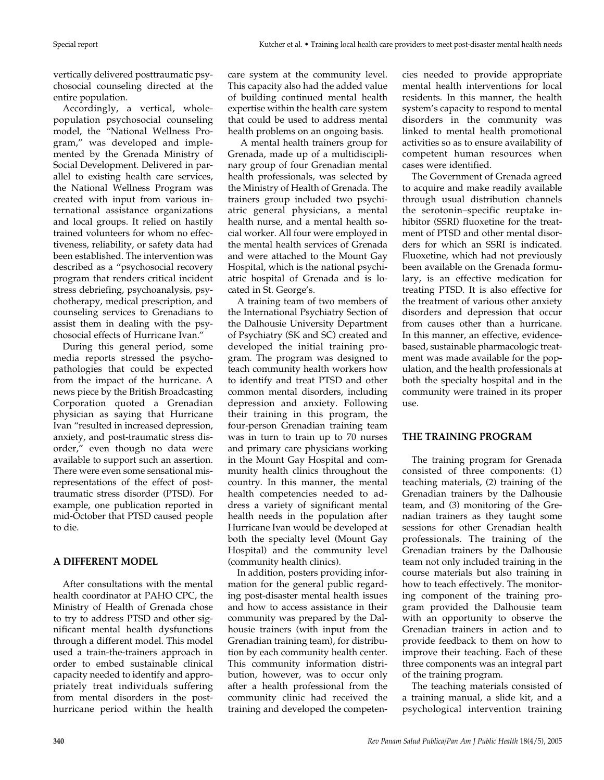vertically delivered posttraumatic psychosocial counseling directed at the entire population.

Accordingly, a vertical, wholepopulation psychosocial counseling model, the "National Wellness Program," was developed and implemented by the Grenada Ministry of Social Development. Delivered in parallel to existing health care services, the National Wellness Program was created with input from various international assistance organizations and local groups. It relied on hastily trained volunteers for whom no effectiveness, reliability, or safety data had been established. The intervention was described as a "psychosocial recovery program that renders critical incident stress debriefing, psychoanalysis, psychotherapy, medical prescription, and counseling services to Grenadians to assist them in dealing with the psychosocial effects of Hurricane Ivan."

During this general period, some media reports stressed the psychopathologies that could be expected from the impact of the hurricane. A news piece by the British Broadcasting Corporation quoted a Grenadian physician as saying that Hurricane Ivan "resulted in increased depression, anxiety, and post-traumatic stress disorder," even though no data were available to support such an assertion. There were even some sensational misrepresentations of the effect of posttraumatic stress disorder (PTSD). For example, one publication reported in mid-October that PTSD caused people to die.

## **A DIFFERENT MODEL**

After consultations with the mental health coordinator at PAHO CPC, the Ministry of Health of Grenada chose to try to address PTSD and other significant mental health dysfunctions through a different model. This model used a train-the-trainers approach in order to embed sustainable clinical capacity needed to identify and appropriately treat individuals suffering from mental disorders in the posthurricane period within the health

care system at the community level. This capacity also had the added value of building continued mental health expertise within the health care system that could be used to address mental health problems on an ongoing basis.

A mental health trainers group for Grenada, made up of a multidisciplinary group of four Grenadian mental health professionals, was selected by the Ministry of Health of Grenada. The trainers group included two psychiatric general physicians, a mental health nurse, and a mental health social worker. All four were employed in the mental health services of Grenada and were attached to the Mount Gay Hospital, which is the national psychiatric hospital of Grenada and is located in St. George's.

A training team of two members of the International Psychiatry Section of the Dalhousie University Department of Psychiatry (SK and SC) created and developed the initial training program. The program was designed to teach community health workers how to identify and treat PTSD and other common mental disorders, including depression and anxiety. Following their training in this program, the four-person Grenadian training team was in turn to train up to 70 nurses and primary care physicians working in the Mount Gay Hospital and community health clinics throughout the country. In this manner, the mental health competencies needed to address a variety of significant mental health needs in the population after Hurricane Ivan would be developed at both the specialty level (Mount Gay Hospital) and the community level (community health clinics).

In addition, posters providing information for the general public regarding post-disaster mental health issues and how to access assistance in their community was prepared by the Dalhousie trainers (with input from the Grenadian training team), for distribution by each community health center. This community information distribution, however, was to occur only after a health professional from the community clinic had received the training and developed the competencies needed to provide appropriate mental health interventions for local residents. In this manner, the health system's capacity to respond to mental disorders in the community was linked to mental health promotional activities so as to ensure availability of competent human resources when cases were identified.

The Government of Grenada agreed to acquire and make readily available through usual distribution channels the serotonin–specific reuptake inhibitor (SSRI) fluoxetine for the treatment of PTSD and other mental disorders for which an SSRI is indicated. Fluoxetine, which had not previously been available on the Grenada formulary, is an effective medication for treating PTSD. It is also effective for the treatment of various other anxiety disorders and depression that occur from causes other than a hurricane. In this manner, an effective, evidencebased, sustainable pharmacologic treatment was made available for the population, and the health professionals at both the specialty hospital and in the community were trained in its proper use.

## **THE TRAINING PROGRAM**

The training program for Grenada consisted of three components: (1) teaching materials, (2) training of the Grenadian trainers by the Dalhousie team, and (3) monitoring of the Grenadian trainers as they taught some sessions for other Grenadian health professionals. The training of the Grenadian trainers by the Dalhousie team not only included training in the course materials but also training in how to teach effectively. The monitoring component of the training program provided the Dalhousie team with an opportunity to observe the Grenadian trainers in action and to provide feedback to them on how to improve their teaching. Each of these three components was an integral part of the training program.

The teaching materials consisted of a training manual, a slide kit, and a psychological intervention training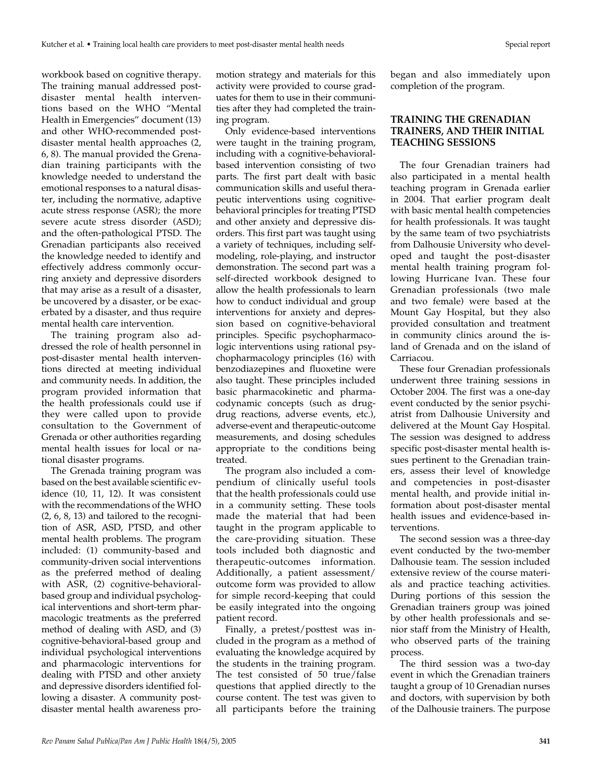workbook based on cognitive therapy. The training manual addressed postdisaster mental health interventions based on the WHO "Mental Health in Emergencies" document (13) and other WHO-recommended postdisaster mental health approaches (2, 6, 8). The manual provided the Grenadian training participants with the knowledge needed to understand the emotional responses to a natural disaster, including the normative, adaptive acute stress response (ASR); the more severe acute stress disorder (ASD); and the often-pathological PTSD. The Grenadian participants also received the knowledge needed to identify and effectively address commonly occurring anxiety and depressive disorders that may arise as a result of a disaster, be uncovered by a disaster, or be exacerbated by a disaster, and thus require mental health care intervention.

The training program also addressed the role of health personnel in post-disaster mental health interventions directed at meeting individual and community needs. In addition, the program provided information that the health professionals could use if they were called upon to provide consultation to the Government of Grenada or other authorities regarding mental health issues for local or national disaster programs.

The Grenada training program was based on the best available scientific evidence (10, 11, 12). It was consistent with the recommendations of the WHO (2, 6, 8, 13) and tailored to the recognition of ASR, ASD, PTSD, and other mental health problems. The program included: (1) community-based and community-driven social interventions as the preferred method of dealing with ASR, (2) cognitive-behavioralbased group and individual psychological interventions and short-term pharmacologic treatments as the preferred method of dealing with ASD, and (3) cognitive-behavioral-based group and individual psychological interventions and pharmacologic interventions for dealing with PTSD and other anxiety and depressive disorders identified following a disaster. A community postdisaster mental health awareness pro-

motion strategy and materials for this activity were provided to course graduates for them to use in their communities after they had completed the training program.

Only evidence-based interventions were taught in the training program, including with a cognitive-behavioralbased intervention consisting of two parts. The first part dealt with basic communication skills and useful therapeutic interventions using cognitivebehavioral principles for treating PTSD and other anxiety and depressive disorders. This first part was taught using a variety of techniques, including selfmodeling, role-playing, and instructor demonstration. The second part was a self-directed workbook designed to allow the health professionals to learn how to conduct individual and group interventions for anxiety and depression based on cognitive-behavioral principles. Specific psychopharmacologic interventions using rational psychopharmacology principles (16) with benzodiazepines and fluoxetine were also taught. These principles included basic pharmacokinetic and pharmacodynamic concepts (such as drugdrug reactions, adverse events, etc.), adverse-event and therapeutic-outcome measurements, and dosing schedules appropriate to the conditions being treated.

The program also included a compendium of clinically useful tools that the health professionals could use in a community setting. These tools made the material that had been taught in the program applicable to the care-providing situation. These tools included both diagnostic and therapeutic-outcomes information. Additionally, a patient assessment/ outcome form was provided to allow for simple record-keeping that could be easily integrated into the ongoing patient record.

Finally, a pretest/posttest was included in the program as a method of evaluating the knowledge acquired by the students in the training program. The test consisted of 50 true/false questions that applied directly to the course content. The test was given to all participants before the training

began and also immediately upon completion of the program.

#### **TRAINING THE GRENADIAN TRAINERS, AND THEIR INITIAL TEACHING SESSIONS**

The four Grenadian trainers had also participated in a mental health teaching program in Grenada earlier in 2004. That earlier program dealt with basic mental health competencies for health professionals. It was taught by the same team of two psychiatrists from Dalhousie University who developed and taught the post-disaster mental health training program following Hurricane Ivan. These four Grenadian professionals (two male and two female) were based at the Mount Gay Hospital, but they also provided consultation and treatment in community clinics around the island of Grenada and on the island of Carriacou.

These four Grenadian professionals underwent three training sessions in October 2004. The first was a one-day event conducted by the senior psychiatrist from Dalhousie University and delivered at the Mount Gay Hospital. The session was designed to address specific post-disaster mental health issues pertinent to the Grenadian trainers, assess their level of knowledge and competencies in post-disaster mental health, and provide initial information about post-disaster mental health issues and evidence-based interventions.

The second session was a three-day event conducted by the two-member Dalhousie team. The session included extensive review of the course materials and practice teaching activities. During portions of this session the Grenadian trainers group was joined by other health professionals and senior staff from the Ministry of Health, who observed parts of the training process.

The third session was a two-day event in which the Grenadian trainers taught a group of 10 Grenadian nurses and doctors, with supervision by both of the Dalhousie trainers. The purpose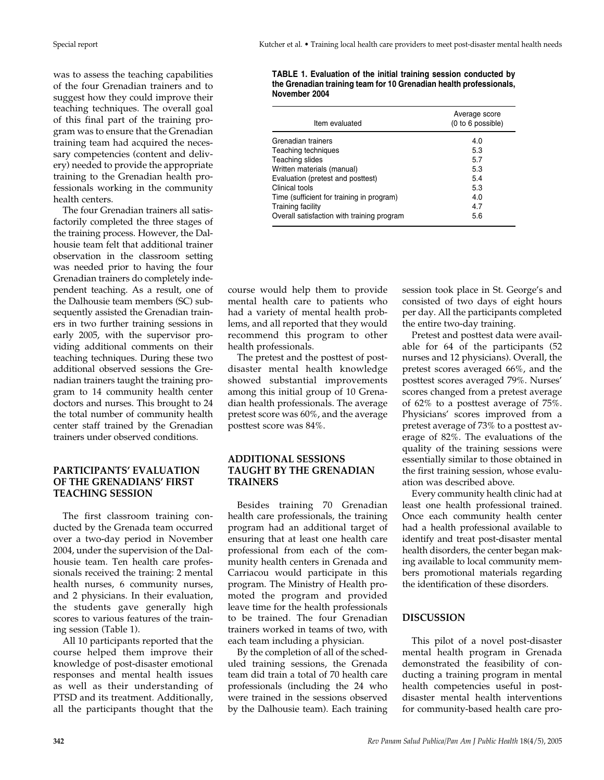was to assess the teaching capabilities of the four Grenadian trainers and to suggest how they could improve their teaching techniques. The overall goal of this final part of the training program was to ensure that the Grenadian training team had acquired the necessary competencies (content and delivery) needed to provide the appropriate training to the Grenadian health professionals working in the community health centers.

The four Grenadian trainers all satisfactorily completed the three stages of the training process. However, the Dalhousie team felt that additional trainer observation in the classroom setting was needed prior to having the four Grenadian trainers do completely independent teaching. As a result, one of the Dalhousie team members (SC) subsequently assisted the Grenadian trainers in two further training sessions in early 2005, with the supervisor providing additional comments on their teaching techniques. During these two additional observed sessions the Grenadian trainers taught the training program to 14 community health center doctors and nurses. This brought to 24 the total number of community health center staff trained by the Grenadian trainers under observed conditions.

#### **PARTICIPANTS' EVALUATION OF THE GRENADIANS' FIRST TEACHING SESSION**

The first classroom training conducted by the Grenada team occurred over a two-day period in November 2004, under the supervision of the Dalhousie team. Ten health care professionals received the training: 2 mental health nurses, 6 community nurses, and 2 physicians. In their evaluation, the students gave generally high scores to various features of the training session (Table 1).

All 10 participants reported that the course helped them improve their knowledge of post-disaster emotional responses and mental health issues as well as their understanding of PTSD and its treatment. Additionally, all the participants thought that the

**TABLE 1. Evaluation of the initial training session conducted by the Grenadian training team for 10 Grenadian health professionals, November 2004**

| Item evaluated                             | Average score<br>(0 to 6 possible) |
|--------------------------------------------|------------------------------------|
| Grenadian trainers                         | 4.0                                |
| Teaching techniques                        | 5.3                                |
| Teaching slides                            | 5.7                                |
| Written materials (manual)                 | 5.3                                |
| Evaluation (pretest and posttest)          | 5.4                                |
| Clinical tools                             | 5.3                                |
| Time (sufficient for training in program)  | 4.0                                |
| Training facility                          | 4.7                                |
| Overall satisfaction with training program | 5.6                                |

course would help them to provide mental health care to patients who had a variety of mental health problems, and all reported that they would recommend this program to other health professionals.

The pretest and the posttest of postdisaster mental health knowledge showed substantial improvements among this initial group of 10 Grenadian health professionals. The average pretest score was 60%, and the average posttest score was 84%.

#### **ADDITIONAL SESSIONS TAUGHT BY THE GRENADIAN TRAINERS**

Besides training 70 Grenadian health care professionals, the training program had an additional target of ensuring that at least one health care professional from each of the community health centers in Grenada and Carriacou would participate in this program. The Ministry of Health promoted the program and provided leave time for the health professionals to be trained. The four Grenadian trainers worked in teams of two, with each team including a physician.

By the completion of all of the scheduled training sessions, the Grenada team did train a total of 70 health care professionals (including the 24 who were trained in the sessions observed by the Dalhousie team). Each training session took place in St. George's and consisted of two days of eight hours per day. All the participants completed the entire two-day training.

Pretest and posttest data were available for 64 of the participants (52 nurses and 12 physicians). Overall, the pretest scores averaged 66%, and the posttest scores averaged 79%. Nurses' scores changed from a pretest average of 62% to a posttest average of 75%. Physicians' scores improved from a pretest average of 73% to a posttest average of 82%. The evaluations of the quality of the training sessions were essentially similar to those obtained in the first training session, whose evaluation was described above.

Every community health clinic had at least one health professional trained. Once each community health center had a health professional available to identify and treat post-disaster mental health disorders, the center began making available to local community members promotional materials regarding the identification of these disorders.

## **DISCUSSION**

This pilot of a novel post-disaster mental health program in Grenada demonstrated the feasibility of conducting a training program in mental health competencies useful in postdisaster mental health interventions for community-based health care pro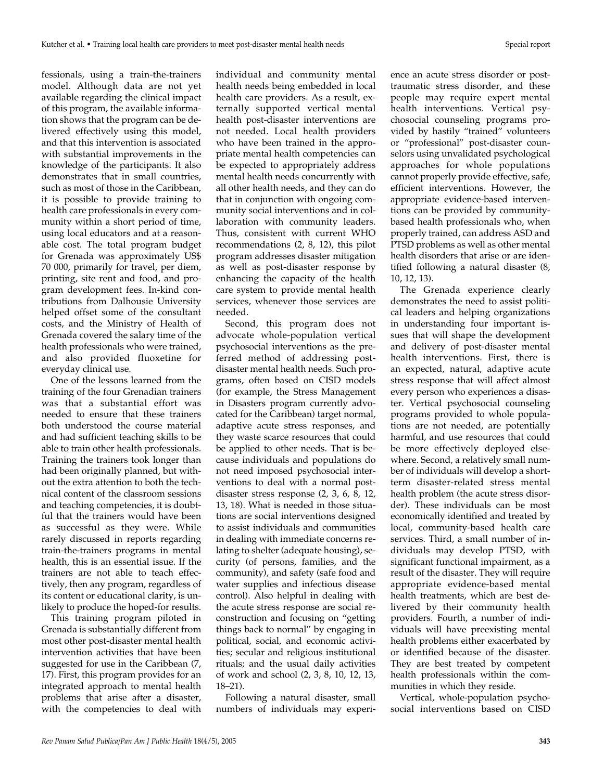fessionals, using a train-the-trainers model. Although data are not yet available regarding the clinical impact of this program, the available information shows that the program can be delivered effectively using this model, and that this intervention is associated with substantial improvements in the knowledge of the participants. It also demonstrates that in small countries, such as most of those in the Caribbean, it is possible to provide training to health care professionals in every community within a short period of time, using local educators and at a reasonable cost. The total program budget for Grenada was approximately US\$ 70 000, primarily for travel, per diem, printing, site rent and food, and program development fees. In-kind contributions from Dalhousie University helped offset some of the consultant costs, and the Ministry of Health of Grenada covered the salary time of the health professionals who were trained, and also provided fluoxetine for everyday clinical use.

One of the lessons learned from the training of the four Grenadian trainers was that a substantial effort was needed to ensure that these trainers both understood the course material and had sufficient teaching skills to be able to train other health professionals. Training the trainers took longer than had been originally planned, but without the extra attention to both the technical content of the classroom sessions and teaching competencies, it is doubtful that the trainers would have been as successful as they were. While rarely discussed in reports regarding train-the-trainers programs in mental health, this is an essential issue. If the trainers are not able to teach effectively, then any program, regardless of its content or educational clarity, is unlikely to produce the hoped-for results.

This training program piloted in Grenada is substantially different from most other post-disaster mental health intervention activities that have been suggested for use in the Caribbean (7, 17). First, this program provides for an integrated approach to mental health problems that arise after a disaster, with the competencies to deal with

individual and community mental health needs being embedded in local health care providers. As a result, externally supported vertical mental health post-disaster interventions are not needed. Local health providers who have been trained in the appropriate mental health competencies can be expected to appropriately address mental health needs concurrently with all other health needs, and they can do that in conjunction with ongoing community social interventions and in collaboration with community leaders. Thus, consistent with current WHO recommendations (2, 8, 12), this pilot program addresses disaster mitigation as well as post-disaster response by enhancing the capacity of the health care system to provide mental health services, whenever those services are needed.

Second, this program does not advocate whole-population vertical psychosocial interventions as the preferred method of addressing postdisaster mental health needs. Such programs, often based on CISD models (for example, the Stress Management in Disasters program currently advocated for the Caribbean) target normal, adaptive acute stress responses, and they waste scarce resources that could be applied to other needs. That is because individuals and populations do not need imposed psychosocial interventions to deal with a normal postdisaster stress response (2, 3, 6, 8, 12, 13, 18). What is needed in those situations are social interventions designed to assist individuals and communities in dealing with immediate concerns relating to shelter (adequate housing), security (of persons, families, and the community), and safety (safe food and water supplies and infectious disease control). Also helpful in dealing with the acute stress response are social reconstruction and focusing on "getting things back to normal" by engaging in political, social, and economic activities; secular and religious institutional rituals; and the usual daily activities of work and school (2, 3, 8, 10, 12, 13, 18–21).

Following a natural disaster, small numbers of individuals may experi-

ence an acute stress disorder or posttraumatic stress disorder, and these people may require expert mental health interventions. Vertical psychosocial counseling programs provided by hastily "trained" volunteers or "professional" post-disaster counselors using unvalidated psychological approaches for whole populations cannot properly provide effective, safe, efficient interventions. However, the appropriate evidence-based interventions can be provided by communitybased health professionals who, when properly trained, can address ASD and PTSD problems as well as other mental health disorders that arise or are identified following a natural disaster (8, 10, 12, 13).

The Grenada experience clearly demonstrates the need to assist political leaders and helping organizations in understanding four important issues that will shape the development and delivery of post-disaster mental health interventions. First, there is an expected, natural, adaptive acute stress response that will affect almost every person who experiences a disaster. Vertical psychosocial counseling programs provided to whole populations are not needed, are potentially harmful, and use resources that could be more effectively deployed elsewhere. Second, a relatively small number of individuals will develop a shortterm disaster-related stress mental health problem (the acute stress disorder). These individuals can be most economically identified and treated by local, community-based health care services. Third, a small number of individuals may develop PTSD, with significant functional impairment, as a result of the disaster. They will require appropriate evidence-based mental health treatments, which are best delivered by their community health providers. Fourth, a number of individuals will have preexisting mental health problems either exacerbated by or identified because of the disaster. They are best treated by competent health professionals within the communities in which they reside.

Vertical, whole-population psychosocial interventions based on CISD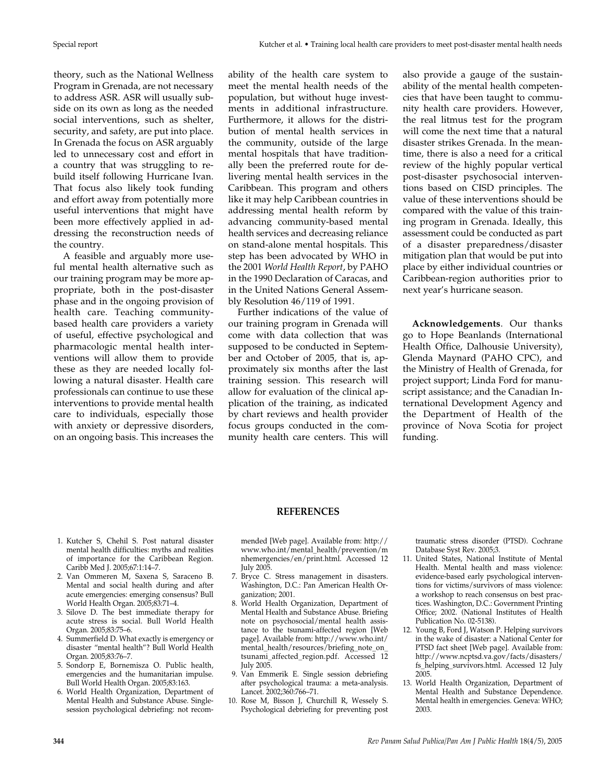theory, such as the National Wellness Program in Grenada, are not necessary to address ASR. ASR will usually subside on its own as long as the needed social interventions, such as shelter, security, and safety, are put into place. In Grenada the focus on ASR arguably led to unnecessary cost and effort in a country that was struggling to rebuild itself following Hurricane Ivan. That focus also likely took funding and effort away from potentially more useful interventions that might have been more effectively applied in addressing the reconstruction needs of the country.

A feasible and arguably more useful mental health alternative such as our training program may be more appropriate, both in the post-disaster phase and in the ongoing provision of health care. Teaching communitybased health care providers a variety of useful, effective psychological and pharmacologic mental health interventions will allow them to provide these as they are needed locally following a natural disaster. Health care professionals can continue to use these interventions to provide mental health care to individuals, especially those with anxiety or depressive disorders, on an ongoing basis. This increases the

ability of the health care system to meet the mental health needs of the population, but without huge investments in additional infrastructure. Furthermore, it allows for the distribution of mental health services in the community, outside of the large mental hospitals that have traditionally been the preferred route for delivering mental health services in the Caribbean. This program and others like it may help Caribbean countries in addressing mental health reform by advancing community-based mental health services and decreasing reliance on stand-alone mental hospitals. This step has been advocated by WHO in the 2001 *World Health Report*, by PAHO in the 1990 Declaration of Caracas, and in the United Nations General Assembly Resolution 46/119 of 1991.

Further indications of the value of our training program in Grenada will come with data collection that was supposed to be conducted in September and October of 2005, that is, approximately six months after the last training session. This research will allow for evaluation of the clinical application of the training, as indicated by chart reviews and health provider focus groups conducted in the community health care centers. This will

also provide a gauge of the sustainability of the mental health competencies that have been taught to community health care providers. However, the real litmus test for the program will come the next time that a natural disaster strikes Grenada. In the meantime, there is also a need for a critical review of the highly popular vertical post-disaster psychosocial interventions based on CISD principles. The value of these interventions should be compared with the value of this training program in Grenada. Ideally, this assessment could be conducted as part of a disaster preparedness/disaster mitigation plan that would be put into place by either individual countries or Caribbean-region authorities prior to next year's hurricane season.

**Acknowledgements**. Our thanks go to Hope Beanlands (International Health Office, Dalhousie University), Glenda Maynard (PAHO CPC), and the Ministry of Health of Grenada, for project support; Linda Ford for manuscript assistance; and the Canadian International Development Agency and the Department of Health of the province of Nova Scotia for project funding.

- 1. Kutcher S, Chehil S. Post natural disaster mental health difficulties: myths and realities of importance for the Caribbean Region.
- Caribb Med J. 2005;67:1:14–7. 2. Van Ommeren M, Saxena S, Saraceno B. Mental and social health during and after acute emergencies: emerging consensus? Bull World Health Organ. 2005;83:71–4.
- 3. Silove D. The best immediate therapy for acute stress is social. Bull World Health Organ. 2005;83:75–6.
- 4. Summerfield D. What exactly is emergency or disaster "mental health"? Bull World Health Organ. 2005;83:76–7.
- 5. Sondorp E, Bornemisza O. Public health, emergencies and the humanitarian impulse. Bull World Health Organ. 2005;83:163.
- 6. World Health Organization, Department of Mental Health and Substance Abuse. Singlesession psychological debriefing: not recom-

mended [Web page]. Available from: http:// www.who.int/mental\_health/prevention/m nhemergencies/en/print.html. Accessed 12 July 2005.

**REFERENCES**

- 7. Bryce C. Stress management in disasters. Washington, D.C.: Pan American Health Organization; 2001.
- 8. World Health Organization, Department of Mental Health and Substance Abuse. Briefing note on psychosocial/mental health assistance to the tsunami-affected region [Web page]. Available from: http://www.who.int/ mental\_health/resources/briefing\_note\_on tsunami\_affected\_region.pdf. Accessed 12 July 2005.
- 9. Van Emmerik E. Single session debriefing after psychological trauma: a meta-analysis. Lancet. 2002;360:766–71.
- 10. Rose M, Bisson J, Churchill R, Wessely S. Psychological debriefing for preventing post

traumatic stress disorder (PTSD). Cochrane Database Syst Rev. 2005;3.

- 11. United States, National Institute of Mental Health. Mental health and mass violence: evidence-based early psychological interventions for victims/survivors of mass violence: a workshop to reach consensus on best practices. Washington, D.C.: Government Printing Office; 2002. (National Institutes of Health Publication No. 02-5138).
- 12. Young B, Ford J, Watson P. Helping survivors in the wake of disaster: a National Center for PTSD fact sheet [Web page]. Available from: http://www.ncptsd.va.gov/facts/disasters/ fs\_helping\_survivors.html. Accessed 12 July 2005.
- 13. World Health Organization, Department of Mental Health and Substance Dependence. Mental health in emergencies. Geneva: WHO; 2003.